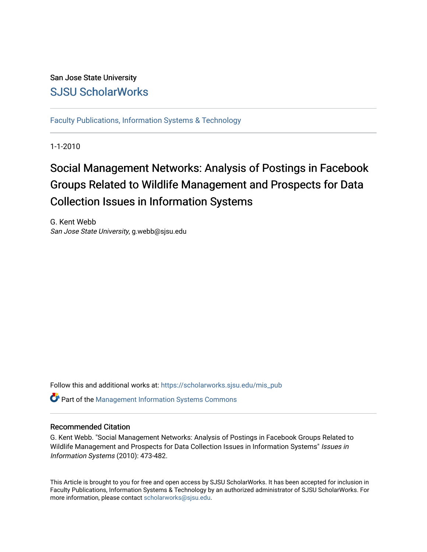# San Jose State University [SJSU ScholarWorks](https://scholarworks.sjsu.edu/)

[Faculty Publications, Information Systems & Technology](https://scholarworks.sjsu.edu/mis_pub) 

1-1-2010

# Social Management Networks: Analysis of Postings in Facebook Groups Related to Wildlife Management and Prospects for Data Collection Issues in Information Systems

G. Kent Webb San Jose State University, g.webb@sjsu.edu

Follow this and additional works at: [https://scholarworks.sjsu.edu/mis\\_pub](https://scholarworks.sjsu.edu/mis_pub?utm_source=scholarworks.sjsu.edu%2Fmis_pub%2F17&utm_medium=PDF&utm_campaign=PDFCoverPages) 

**C** Part of the Management Information Systems Commons

## Recommended Citation

G. Kent Webb. "Social Management Networks: Analysis of Postings in Facebook Groups Related to Wildlife Management and Prospects for Data Collection Issues in Information Systems" Issues in Information Systems (2010): 473-482.

This Article is brought to you for free and open access by SJSU ScholarWorks. It has been accepted for inclusion in Faculty Publications, Information Systems & Technology by an authorized administrator of SJSU ScholarWorks. For more information, please contact [scholarworks@sjsu.edu.](mailto:scholarworks@sjsu.edu)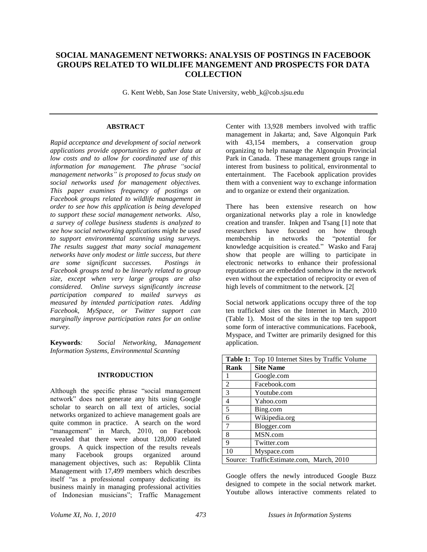# **SOCIAL MANAGEMENT NETWORKS: ANALYSIS OF POSTINGS IN FACEBOOK GROUPS RELATED TO WILDLIFE MANGEMENT AND PROSPECTS FOR DATA COLLECTION**

G. Kent Webb, San Jose State University, webb\_k@cob.sjsu.edu

#### **ABSTRACT**

*Rapid acceptance and development of social network applications provide opportunities to gather data at low costs and to allow for coordinated use of this information for management. The phrase "social management networks" is proposed to focus study on social networks used for management objectives. This paper examines frequency of postings on Facebook groups related to wildlife management in order to see how this application is being developed to support these social management networks. Also, a survey of college business students is analyzed to see how social networking applications might be used to support environmental scanning using surveys. The results suggest that many social management networks have only modest or little success, but there are some significant successes. Postings in Facebook groups tend to be linearly related to group size, except when very large groups are also considered. Online surveys significantly increase participation compared to mailed surveys as measured by intended participation rates. Adding Facebook, MySpace, or Twitter support can marginally improve participation rates for an online survey.*

**Keywords***: Social Networking, Management Information Systems, Environmental Scanning*

#### **INTRODUCTION**

Although the specific phrase "social management network" does not generate any hits using Google scholar to search on all text of articles, social networks organized to achieve management goals are quite common in practice. A search on the word "management" in March, 2010, on Facebook revealed that there were about 128,000 related groups. A quick inspection of the results reveals many Facebook groups organized around management objectives, such as: Republik Clinta Management with 17,499 members which describes itself "as a professional company dedicating its business mainly in managing professional activities of Indonesian musicians"; Traffic Management Center with 13,928 members involved with traffic management in Jakarta; and, Save Algonquin Park with 43,154 members, a conservation group organizing to help manage the Algonquin Provincial Park in Canada. These management groups range in interest from business to political, environmental to entertainment. The Facebook application provides them with a convenient way to exchange information and to organize or extend their organization.

There has been extensive research on how organizational networks play a role in knowledge creation and transfer. Inkpen and Tsang [1] note that researchers have focused on how through<br>membership in networks the "potential for membership in networks the knowledge acquisition is created." Wasko and Faraj show that people are willing to participate in electronic networks to enhance their professional reputations or are embedded somehow in the network even without the expectation of reciprocity or even of high levels of commitment to the network. [2[

Social network applications occupy three of the top ten trafficked sites on the Internet in March, 2010 (Table 1). Most of the sites in the top ten support some form of interactive communications. Facebook, Myspace, and Twitter are primarily designed for this application.

| Table 1: Top 10 Internet Sites by Traffic Volume |                                          |  |  |
|--------------------------------------------------|------------------------------------------|--|--|
| Rank                                             | <b>Site Name</b>                         |  |  |
|                                                  | Google.com                               |  |  |
| 2                                                | Facebook.com                             |  |  |
| 3                                                | Youtube.com                              |  |  |
| $\overline{4}$                                   | Yahoo.com                                |  |  |
| 5                                                | Bing.com                                 |  |  |
| 6                                                | Wikipedia.org                            |  |  |
| 7                                                | Blogger.com                              |  |  |
| 8                                                | MSN.com                                  |  |  |
| 9                                                | Twitter.com                              |  |  |
| 10                                               | Myspace.com                              |  |  |
|                                                  | Source: TrafficEstimate.com, March, 2010 |  |  |

Google offers the newly introduced Google Buzz designed to compete in the social network market. Youtube allows interactive comments related to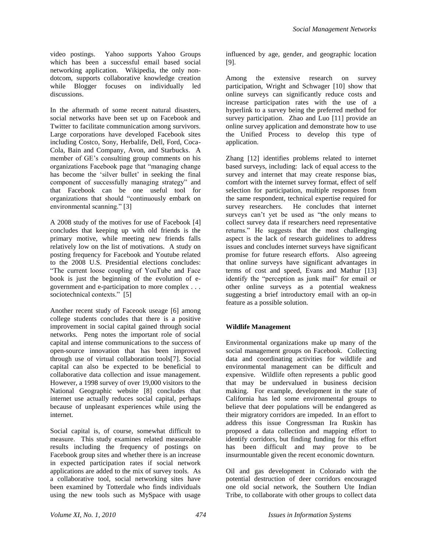video postings. Yahoo supports Yahoo Groups which has been a successful email based social networking application. Wikipedia, the only nondotcom, supports collaborative knowledge creation while Blogger focuses on individually led discussions.

In the aftermath of some recent natural disasters, social networks have been set up on Facebook and Twitter to facilitate communication among survivors. Large corporations have developed Facebook sites including Costco, Sony, Herbalife, Dell, Ford, Coca-Cola, Bain and Company, Avon, and Starbucks. A member of GE's consulting group comments on his organizations Facebook page that "managing change has become the 'silver bullet' in seeking the final component of successfully managing strategy" and that Facebook can be one useful tool for organizations that should "continuously embark on environmental scanning." [3]

A 2008 study of the motives for use of Facebook [4] concludes that keeping up with old friends is the primary motive, while meeting new friends falls relatively low on the list of motivations. A study on posting frequency for Facebook and Youtube related to the 2008 U.S. Presidential elections concludes: "The current loose coupling of YouTube and Face book is just the beginning of the evolution of egovernment and e-participation to more complex . . . sociotechnical contexts." [5]

Another recent study of Faceook useage [6] among college students concludes that there is a positive improvement in social capital gained through social networks. Peng notes the important role of social capital and intense communications to the success of open-source innovation that has been improved through use of virtual collaboration tools[7]. Social capital can also be expected to be beneficial to collaborative data collection and issue management. However, a 1998 survey of over 19,000 visitors to the National Geographic website [8] concludes that internet use actually reduces social capital, perhaps because of unpleasant experiences while using the internet.

Social capital is, of course, somewhat difficult to measure. This study examines related measureable results including the frequency of postings on Facebook group sites and whether there is an increase in expected participation rates if social network applications are added to the mix of survey tools. As a collaborative tool, social networking sites have been examined by Totterdale who finds individuals using the new tools such as MySpace with usage

influenced by age, gender, and geographic location [9].

Among the extensive research on survey participation, Wright and Schwager [10] show that online surveys can significantly reduce costs and increase participation rates with the use of a hyperlink to a survey being the preferred method for survey participation. Zhao and Luo [11] provide an online survey application and demonstrate how to use the Unified Process to develop this type of application.

Zhang [12] identifies problems related to internet based surveys, including: lack of equal access to the survey and internet that may create response bias, comfort with the internet survey format, effect of self selection for participation, multiple responses from the same respondent, technical expertise required for survey researchers. He concludes that internet surveys can't yet be used as "the only means to collect survey data if researchers need representative returns." He suggests that the most challenging aspect is the lack of research guidelines to address issues and concludes internet surveys have significant promise for future research efforts. Also agreeing that online surveys have significant advantages in terms of cost and speed, Evans and Mathur [13] identify the "perception as junk mail" for email or other online surveys as a potential weakness suggesting a brief introductory email with an op-in feature as a possible solution.

#### **Wildlife Management**

Environmental organizations make up many of the social management groups on Facebook. Collecting data and coordinating activities for wildlife and environmental management can be difficult and expensive. Wildlife often represents a public good that may be undervalued in business decision making. For example, development in the state of California has led some environmental groups to believe that deer populations will be endangered as their migratory corridors are impeded. In an effort to address this issue Congressman Ira Ruskin has proposed a data collection and mapping effort to identify corridors, but finding funding for this effort has been difficult and may prove to be insurmountable given the recent economic downturn.

Oil and gas development in Colorado with the potential destruction of deer corridors encouraged one old social network, the Southern Ute Indian Tribe, to collaborate with other groups to collect data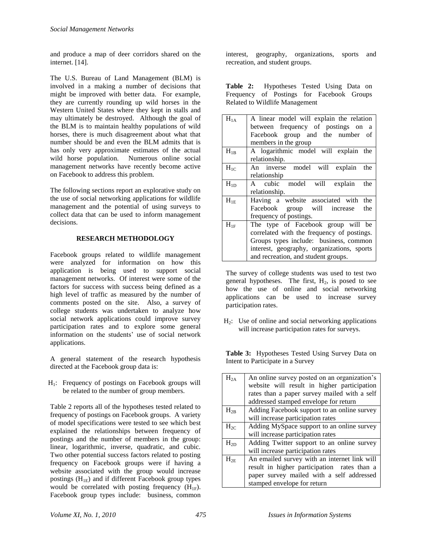and produce a map of deer corridors shared on the internet. [14].

The U.S. Bureau of Land Management (BLM) is involved in a making a number of decisions that might be improved with better data. For example, they are currently rounding up wild horses in the Western United States where they kept in stalls and may ultimately be destroyed. Although the goal of the BLM is to maintain healthy populations of wild horses, there is much disagreement about what that number should be and even the BLM admits that is has only very approximate estimates of the actual wild horse population. Numerous online social management networks have recently become active on Facebook to address this problem.

The following sections report an explorative study on the use of social networking applications for wildlife management and the potential of using surveys to collect data that can be used to inform management decisions.

### **RESEARCH METHODOLOGY**

Facebook groups related to wildlife management were analyzed for information on how this application is being used to support social management networks. Of interest were some of the factors for success with success being defined as a high level of traffic as measured by the number of comments posted on the site. Also, a survey of college students was undertaken to analyze how social network applications could improve survey participation rates and to explore some general information on the students' use of social network applications.

A general statement of the research hypothesis directed at the Facebook group data is:

 $H<sub>1</sub>$ : Frequency of postings on Facebook groups will be related to the number of group members.

Table 2 reports all of the hypotheses tested related to frequency of postings on Facebook groups. A variety of model specifications were tested to see which best explained the relationships between frequency of postings and the number of members in the group: linear, logarithmic, inverse, quadratic, and cubic. Two other potential success factors related to posting frequency on Facebook groups were if having a website associated with the group would increase postings  $(H_{1E})$  and if different Facebook group types would be correlated with posting frequency  $(H_{1F})$ . Facebook group types include: business, common interest, geography, organizations, sports and recreation, and student groups.

**Table 2:** Hypotheses Tested Using Data on Frequency of Postings for Facebook Groups Related to Wildlife Management

| between frequency of postings on a         |
|--------------------------------------------|
| Facebook group and the number of           |
|                                            |
| A logarithmic model will explain the       |
|                                            |
| An inverse model will explain<br>the       |
|                                            |
| A cubic model will explain<br>the          |
|                                            |
| Having a website associated with the       |
| Facebook group will increase<br>the        |
|                                            |
| The type of Facebook group will be         |
| correlated with the frequency of postings. |
| Groups types include: business, common     |
| interest, geography, organizations, sports |
|                                            |
|                                            |

The survey of college students was used to test two general hypotheses. The first,  $H_2$ , is posed to see how the use of online and social networking applications can be used to increase survey participation rates.

 $H_2$ : Use of online and social networking applications will increase participation rates for surveys.

**Table 3:** Hypotheses Tested Using Survey Data on Intent to Participate in a Survey

| $H_{2A}$ | An online survey posted on an organization's |  |  |  |  |  |
|----------|----------------------------------------------|--|--|--|--|--|
|          | website will result in higher participation  |  |  |  |  |  |
|          | rates than a paper survey mailed with a self |  |  |  |  |  |
|          | addressed stamped envelope for return        |  |  |  |  |  |
| $H_{2B}$ | Adding Facebook support to an online survey  |  |  |  |  |  |
|          | will increase participation rates            |  |  |  |  |  |
| $H_{2C}$ | Adding MySpace support to an online survey   |  |  |  |  |  |
|          | will increase participation rates            |  |  |  |  |  |
| $H_{2D}$ | Adding Twitter support to an online survey   |  |  |  |  |  |
|          | will increase participation rates            |  |  |  |  |  |
| $H_{2E}$ | An emailed survey with an internet link will |  |  |  |  |  |
|          | result in higher participation rates than a  |  |  |  |  |  |
|          | paper survey mailed with a self addressed    |  |  |  |  |  |
|          | stamped envelope for return                  |  |  |  |  |  |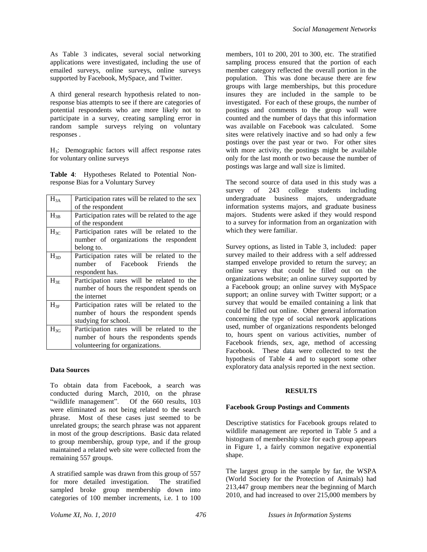As Table 3 indicates, several social networking applications were investigated, including the use of emailed surveys, online surveys, online surveys supported by Facebook, MySpace, and Twitter.

A third general research hypothesis related to nonresponse bias attempts to see if there are categories of potential respondents who are more likely not to participate in a survey, creating sampling error in random sample surveys relying on voluntary responses .

H3: Demographic factors will affect response rates for voluntary online surveys

**Table 4**: Hypotheses Related to Potential Nonresponse Bias for a Voluntary Survey

| $H_{3A}$ | Participation rates will be related to the sex  |  |  |  |  |
|----------|-------------------------------------------------|--|--|--|--|
|          | of the respondent                               |  |  |  |  |
| $H_{3B}$ | Participation rates will be related to the age. |  |  |  |  |
|          | of the respondent                               |  |  |  |  |
| $H_{3C}$ | Participation rates will be related to the      |  |  |  |  |
|          | number of organizations the respondent          |  |  |  |  |
|          | belong to.                                      |  |  |  |  |
| $H_{3D}$ | Participation rates will be related to the      |  |  |  |  |
|          | number of Facebook Friends<br>the               |  |  |  |  |
|          | respondent has.                                 |  |  |  |  |
| $H_{3E}$ | Participation rates will be related to the      |  |  |  |  |
|          | number of hours the respondent spends on        |  |  |  |  |
|          | the internet                                    |  |  |  |  |
| $H_{3F}$ | Participation rates will be related to the      |  |  |  |  |
|          | number of hours the respondent spends           |  |  |  |  |
|          | studying for school.                            |  |  |  |  |
| $H_{3G}$ | Participation rates will be related to the      |  |  |  |  |
|          | number of hours the respondents spends          |  |  |  |  |
|          | volunteering for organizations.                 |  |  |  |  |

#### **Data Sources**

To obtain data from Facebook, a search was conducted during March, 2010, on the phrase "wildlife management". Of the 660 results, 103 were eliminated as not being related to the search phrase. Most of these cases just seemed to be unrelated groups; the search phrase was not apparent in most of the group descriptions. Basic data related to group membership, group type, and if the group maintained a related web site were collected from the remaining 557 groups.

A stratified sample was drawn from this group of 557 for more detailed investigation. The stratified sampled broke group membership down into categories of 100 member increments, i.e. 1 to 100 members, 101 to 200, 201 to 300, etc. The stratified sampling process ensured that the portion of each member category reflected the overall portion in the population. This was done because there are few groups with large memberships, but this procedure insures they are included in the sample to be investigated. For each of these groups, the number of postings and comments to the group wall were counted and the number of days that this information was available on Facebook was calculated. Some sites were relatively inactive and so had only a few postings over the past year or two. For other sites with more activity, the postings might be available only for the last month or two because the number of postings was large and wall size is limited.

The second source of data used in this study was a survey of 243 college students including undergraduate business majors, undergraduate information systems majors, and graduate business majors. Students were asked if they would respond to a survey for information from an organization with which they were familiar.

Survey options, as listed in Table 3, included: paper survey mailed to their address with a self addressed stamped envelope provided to return the survey; an online survey that could be filled out on the organizations website; an online survey supported by a Facebook group; an online survey with MySpace support; an online survey with Twitter support; or a survey that would be emailed containing a link that could be filled out online. Other general information concerning the type of social network applications used, number of organizations respondents belonged to, hours spent on various activities, number of Facebook friends, sex, age, method of accessing Facebook. These data were collected to test the hypothesis of Table 4 and to support some other exploratory data analysis reported in the next section.

#### **RESULTS**

#### **Facebook Group Postings and Comments**

Descriptive statistics for Facebook groups related to wildlife management are reported in Table 5 and a histogram of membership size for each group appears in Figure 1, a fairly common negative exponential shape.

The largest group in the sample by far, the WSPA (World Society for the Protection of Animals) had 213,447 group members near the beginning of March 2010, and had increased to over 215,000 members by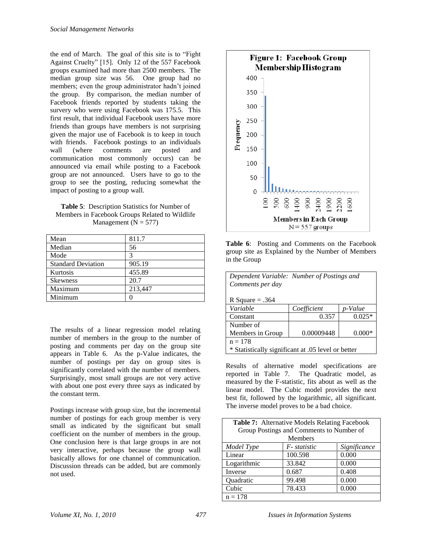the end of March. The goal of this site is to "Fight Against Cruelty" [15]. Only 12 of the 557 Facebook groups examined had more than 2500 members. The median group size was 56. One group had no members; even the group administrator hadn"t joined the group. By comparison, the median number of Facebook friends reported by students taking the survery who were using Facebook was 175.5. This first result, that individual Facebook users have more friends than groups have members is not surprising given the major use of Facebook is to keep in touch with friends. Facebook postings to an individuals wall (where comments are posted and communication most commonly occurs) can be announced via email while posting to a Facebook group are not announced. Users have to go to the group to see the posting, reducing somewhat the impact of posting to a group wall.

**Table 5**: Description Statistics for Number of Members in Facebook Groups Related to Wildlife Management ( $N = 577$ )

| Mean                      | 811.7   |
|---------------------------|---------|
| Median                    | 56      |
| Mode                      | 3       |
| <b>Standard Deviation</b> | 905.19  |
| Kurtosis                  | 455.89  |
| <b>Skewness</b>           | 20.7    |
| Maximum                   | 213,447 |
| Minimum                   |         |

The results of a linear regression model relating number of members in the group to the number of posting and comments per day on the group site appears in Table 6. As the p-Value indicates, the number of postings per day on group sites is significantly correlated with the number of members. Surprisingly, most small groups are not very active with about one post every three says as indicated by the constant term.

Postings increase with group size, but the incremental number of postings for each group member is very small as indicated by the significant but small coefficient on the number of members in the group. One conclusion here is that large groups in are not very interactive, perhaps because the group wall basically allows for one channel of communication. Discussion threads can be added, but are commonly not used.



**Table 6**: Posting and Comments on the Facebook group site as Explained by the Number of Members in the Group

| Dependent Variable: Number of Postings and<br>Comments per day |             |          |  |  |  |
|----------------------------------------------------------------|-------------|----------|--|--|--|
| R Square $= .364$                                              |             |          |  |  |  |
| Variable                                                       | Coefficient | p-Value  |  |  |  |
| Constant                                                       | 0.357       | $0.025*$ |  |  |  |
| Number of                                                      |             |          |  |  |  |
| 0.00009448<br>$0.000*$<br>Members in Group                     |             |          |  |  |  |
| $n = 178$                                                      |             |          |  |  |  |
| * Statistically significant at .05 level or better             |             |          |  |  |  |

Results of alternative model specifications are reported in Table 7. The Quadratic model, as measured by the F-statistic, fits about as well as the linear model. The Cubic model provides the next best fit, followed by the logarithmic, all significant. The inverse model proves to be a bad choice.

| <b>Table 7:</b> Alternative Models Relating Facebook |                 |              |  |  |
|------------------------------------------------------|-----------------|--------------|--|--|
| Group Postings and Comments to Number of             |                 |              |  |  |
| Members                                              |                 |              |  |  |
| Model Type                                           | $F$ - statistic | Significance |  |  |
| Linear                                               | 100.598         | 0.000        |  |  |
| Logarithmic                                          | 33.842          | 0.000        |  |  |
| Inverse                                              | 0.687           | 0.408        |  |  |
| Quadratic                                            | 99.498          | 0.000        |  |  |
| Cubic                                                | 78.433          | 0.000        |  |  |
| $n = 178$                                            |                 |              |  |  |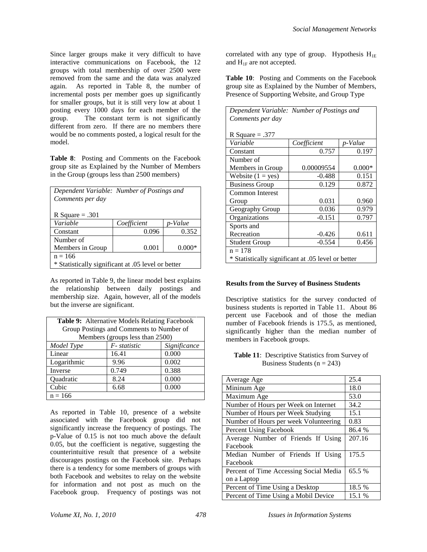Since larger groups make it very difficult to have interactive communications on Facebook, the 12 groups with total membership of over 2500 were removed from the same and the data was analyzed again. As reported in Table 8, the number of incremental posts per member goes up significantly for smaller groups, but it is still very low at about 1 posting every 1000 days for each member of the group. The constant term is not significantly different from zero. If there are no members there would be no comments posted, a logical result for the model.

**Table 8**: Posting and Comments on the Facebook group site as Explained by the Number of Members in the Group (groups less than 2500 members)

| Dependent Variable: Number of Postings and         |             |         |  |  |  |
|----------------------------------------------------|-------------|---------|--|--|--|
| Comments per day                                   |             |         |  |  |  |
|                                                    |             |         |  |  |  |
| R Square $= .301$                                  |             |         |  |  |  |
| Variable                                           | Coefficient | p-Value |  |  |  |
| Constant                                           | 0.096       | 0.352   |  |  |  |
| Number of                                          |             |         |  |  |  |
| Members in Group<br>0.001<br>$0.000*$              |             |         |  |  |  |
| $n = 166$                                          |             |         |  |  |  |
| * Statistically significant at .05 level or better |             |         |  |  |  |

As reported in Table 9, the linear model best explains the relationship between daily postings and membership size. Again, however, all of the models but the inverse are significant.

| Table 9: Alternative Models Relating Facebook |       |       |  |  |
|-----------------------------------------------|-------|-------|--|--|
| Group Postings and Comments to Number of      |       |       |  |  |
| Members (groups less than 2500)               |       |       |  |  |
| $F$ -statistic<br>Significance<br>Model Type  |       |       |  |  |
| Linear                                        | 16.41 | 0.000 |  |  |
| Logarithmic<br>0.002<br>9.96                  |       |       |  |  |
| 0.749<br>0.388<br>Inverse                     |       |       |  |  |
| 0.000<br>Quadratic<br>8.24                    |       |       |  |  |
| Cubic<br>0.000<br>6.68                        |       |       |  |  |
| $n = 166$                                     |       |       |  |  |

As reported in Table 10, presence of a website associated with the Facebook group did not significantly increase the frequency of postings. The p-Value of 0.15 is not too much above the default 0.05, but the coefficient is negative, suggesting the counterintuitive result that presence of a website discourages postings on the Facebook site. Perhaps there is a tendency for some members of groups with both Facebook and websites to relay on the website for information and not post as much on the Facebook group. Frequency of postings was not

correlated with any type of group. Hypothesis  $H_{1E}$ and  $H_{1F}$  are not accepted.

**Table 10**: Posting and Comments on the Facebook group site as Explained by the Number of Members, Presence of Supporting Website, and Group Type

| Dependent Variable: Number of Postings and         |             |          |  |  |  |
|----------------------------------------------------|-------------|----------|--|--|--|
| Comments per day                                   |             |          |  |  |  |
|                                                    |             |          |  |  |  |
| R Square $= .377$                                  |             |          |  |  |  |
| Variable                                           | Coefficient | p-Value  |  |  |  |
| Constant                                           | 0.757       | 0.197    |  |  |  |
| Number of                                          |             |          |  |  |  |
| Members in Group                                   | 0.00009554  | $0.000*$ |  |  |  |
| Website $(1 = yes)$                                | $-0.488$    | 0.151    |  |  |  |
| 0.129<br>0.872<br><b>Business Group</b>            |             |          |  |  |  |
| Common Interest                                    |             |          |  |  |  |
| Group                                              | 0.031       | 0.960    |  |  |  |
| 0.036<br>0.979<br>Geography Group                  |             |          |  |  |  |
| $-0.151$<br>0.797<br>Organizations                 |             |          |  |  |  |
| Sports and                                         |             |          |  |  |  |
| Recreation<br>0.611<br>$-0.426$                    |             |          |  |  |  |
| $-0.554$<br>0.456<br><b>Student Group</b>          |             |          |  |  |  |
| $n = 178$                                          |             |          |  |  |  |
| * Statistically significant at .05 level or better |             |          |  |  |  |

#### **Results from the Survey of Business Students**

Descriptive statistics for the survey conducted of business students is reported in Table 11. About 86 percent use Facebook and of those the median number of Facebook friends is 175.5, as mentioned, significantly higher than the median number of members in Facebook groups.

**Table 11**: Descriptive Statistics from Survey of Business Students ( $n = 243$ )

| Average Age                            | 25.4   |
|----------------------------------------|--------|
| Mininum Age                            | 18.0   |
| Maximum Age                            | 53.0   |
| Number of Hours per Week on Internet   | 34.2   |
| Number of Hours per Week Studying      | 15.1   |
| Number of Hours per week Volunteering  | 0.83   |
| <b>Percent Using Facebook</b>          | 86.4 % |
| Average Number of Friends If Using     | 207.16 |
| Facebook                               |        |
| Median Number of Friends If Using      | 175.5  |
| Facebook                               |        |
| Percent of Time Accessing Social Media | 65.5 % |
| on a Laptop                            |        |
| Percent of Time Using a Desktop        | 18.5 % |
| Percent of Time Using a Mobil Device   | 15.1 % |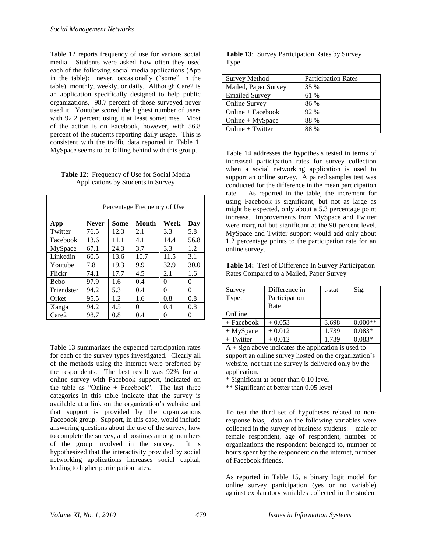Table 12 reports frequency of use for various social media. Students were asked how often they used each of the following social media applications (App in the table): never, occasionally ("some" in the table), monthly, weekly, or daily. Although Care2 is an application specifically designed to help public organizations, 98.7 percent of those surveyed never used it. Youtube scored the highest number of users with 92.2 percent using it at least sometimes. Most of the action is on Facebook, however, with 56.8 percent of the students reporting daily usage. This is consistent with the traffic data reported in Table 1. MySpace seems to be falling behind with this group.

**Table 12**: Frequency of Use for Social Media Applications by Students in Survey

|             | Percentage Frequency of Use |             |        |          |      |
|-------------|-----------------------------|-------------|--------|----------|------|
| App         | <b>Never</b>                | <b>Some</b> | Month  | Week     | Day  |
| Twitter     | 76.5                        | 12.3        | 2.1    | 3.3      | 5.8  |
| Facebook    | 13.6                        | 11.1        | 4.1    | 14.4     | 56.8 |
| MySpace     | 67.1                        | 24.3        | 3.7    | 3.3      | 1.2  |
| Linkedin    | 60.5                        | 13.6        | 10.7   | 11.5     | 3.1  |
| Youtube     | 7.8                         | 19.3        | 9.9    | 32.9     | 30.0 |
| Flickr      | 74.1                        | 17.7        | 4.5    | 2.1      | 1.6  |
| <b>Bebo</b> | 97.9                        | 1.6         | 0.4    | $\theta$ | 0    |
| Friendster  | 94.2                        | 5.3         | 0.4    | 0        | 0    |
| Orket       | 95.5                        | 1.2         | 1.6    | 0.8      | 0.8  |
| Xanga       | 94.2                        | 4.5         | $_{0}$ | 0.4      | 0.8  |
| Care2       | 98.7                        | 0.8         | 0.4    | 0        | 0    |

Table 13 summarizes the expected participation rates for each of the survey types investigated. Clearly all of the methods using the internet were preferred by the respondents. The best result was 92% for an online survey with Facebook support, indicated on the table as "Online + Facebook". The last three categories in this table indicate that the survey is available at a link on the organization"s website and that support is provided by the organizations Facebook group. Support, in this case, would include answering questions about the use of the survey, how to complete the survey, and postings among members of the group involved in the survey. It is hypothesized that the interactivity provided by social networking applications increases social capital, leading to higher participation rates.

|      | Table 13: Survey Participation Rates by Survey |
|------|------------------------------------------------|
| Type |                                                |

| <b>Survey Method</b>  | <b>Participation Rates</b> |  |
|-----------------------|----------------------------|--|
| Mailed, Paper Survey  | 35 %                       |  |
| <b>Emailed Survey</b> | 61 %                       |  |
| <b>Online Survey</b>  | 86 %                       |  |
| $Online + Facebook$   | 92 %                       |  |
| $Online + MySpace$    | 88 %                       |  |
| Online $+$ Twitter    | 88 %                       |  |

Table 14 addresses the hypothesis tested in terms of increased participation rates for survey collection when a social networking application is used to support an online survey. A paired samples test was conducted for the difference in the mean participation rate. As reported in the table, the increment for using Facebook is significant, but not as large as might be expected, only about a 5.3 percentage point increase. Improvements from MySpace and Twitter were marginal but significant at the 90 percent level. MySpace and Twitter support would add only about 1.2 percentage points to the participation rate for an online survey.

**Table 14:** Test of Difference In Survey Participation Rates Compared to a Mailed, Paper Survey

| Survey               | Difference in   | t-stat | Sig.      |
|----------------------|-----------------|--------|-----------|
| Type:                | Participation   |        |           |
|                      | Rate            |        |           |
| OnLine               |                 |        |           |
| $+$ Facebook         | $+0.053$        | 3.698  | $0.000**$ |
| $+$ MySpace          | $+0.012$        | 1.739  | $0.083*$  |
| $+$ Twitter          | $+0.012$        | 1.739  | $0.083*$  |
| $\sim$ $\sim$ $\sim$ | . .<br>$\cdots$ |        |           |

 $A + sign$  above indicates the application is used to support an online survey hosted on the organization's website, not that the survey is delivered only by the application.

\* Significant at better than 0.10 level

\*\* Significant at better than 0.05 level

To test the third set of hypotheses related to nonresponse bias, data on the following variables were collected in the survey of business students: male or female respondent, age of respondent, number of organizations the respondent belonged to, number of hours spent by the respondent on the internet, number of Facebook friends.

As reported in Table 15, a binary logit model for online survey participation (yes or no variable) against explanatory variables collected in the student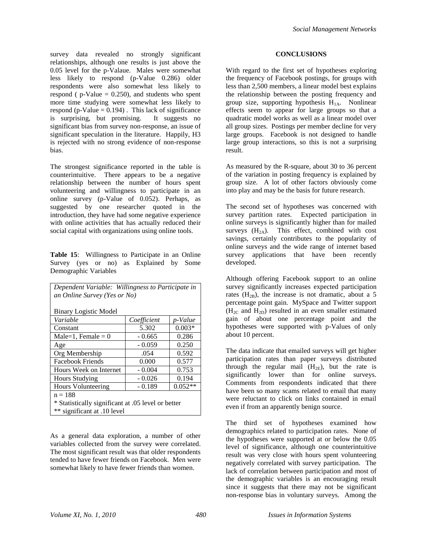survey data revealed no strongly significant relationships, although one results is just above the 0.05 level for the p-Valaue. Males were somewhat less likely to respond (p-Value 0.286) older respondents were also somewhat less likely to respond ( $p$ -Value = 0.250), and students who spent more time studying were somewhat less likely to respond (p-Value  $= 0.194$ ). This lack of significance is surprising, but promising. It suggests no significant bias from survey non-response, an issue of significant speculation in the literature. Happily, H3 is rejected with no strong evidence of non-response bias.

The strongest significance reported in the table is counterintuitive. There appears to be a negative relationship between the number of hours spent volunteering and willingness to participate in an online survey (p-Value of 0.052). Perhaps, as suggested by one researcher quoted in the introduction, they have had some negative experience with online activities that has actually reduced their social capital with organizations using online tools.

**Table 15**: Willingness to Participate in an Online Survey (yes or no) as Explained by Some Demographic Variables

| Dependent Variable: Willingness to Participate in<br>an Online Survey (Yes or No) |             |           |  |  |  |
|-----------------------------------------------------------------------------------|-------------|-----------|--|--|--|
| <b>Binary Logistic Model</b>                                                      |             |           |  |  |  |
| Variable                                                                          | Coefficient | p-Value   |  |  |  |
| Constant                                                                          | 5.302       | $0.003*$  |  |  |  |
| Male=1, Female = $0$                                                              | $-0.665$    | 0.286     |  |  |  |
| Age                                                                               | $-0.059$    | 0.250     |  |  |  |
| Org Membership                                                                    | .054        | 0.592     |  |  |  |
| <b>Facebook Friends</b>                                                           | 0.000       | 0.577     |  |  |  |
| Hours Week on Internet                                                            | $-0.004$    | 0.753     |  |  |  |
| <b>Hours Studying</b>                                                             | $-0.026$    | 0.194     |  |  |  |
| <b>Hours Volunteering</b>                                                         | $-0.189$    | $0.052**$ |  |  |  |
| $n = 188$                                                                         |             |           |  |  |  |
| * Statistically significant at .05 level or better                                |             |           |  |  |  |
| ** significant at .10 level                                                       |             |           |  |  |  |

As a general data exploration, a number of other variables collected from the survey were correlated. The most significant result was that older respondents tended to have fewer friends on Facebook. Men were somewhat likely to have fewer friends than women.

#### **CONCLUSIONS**

With regard to the first set of hypotheses exploring the frequency of Facebook postings, for groups with less than 2,500 members, a linear model best explains the relationship between the posting frequency and group size, supporting hypothesis  $H_{1A}$ . Nonlinear effects seem to appear for large groups so that a quadratic model works as well as a linear model over all group sizes. Postings per member decline for very large groups. Facebook is not designed to handle large group interactions, so this is not a surprising result.

As measured by the R-square, about 30 to 36 percent of the variation in posting frequency is explained by group size. A lot of other factors obviously come into play and may be the basis for future research.

The second set of hypotheses was concerned with survey partition rates. Expected participation in online surveys is significantly higher than for mailed surveys  $(H_{2A})$ . This effect, combined with cost savings, certainly contributes to the popularity of online surveys and the wide range of internet based survey applications that have been recently developed.

Although offering Facebook support to an online survey significantly increases expected participation rates  $(H_{2B})$ , the increase is not dramatic, about a 5 percentage point gain. MySpace and Twitter support  $(H_{2C}$  and  $H_{2D})$  resulted in an even smaller estimated gain of about one percentage point and the hypotheses were supported with p-Values of only about 10 percent.

The data indicate that emailed surveys will get higher participation rates than paper surveys distributed through the regular mail  $(H_{2E})$ , but the rate is significantly lower than for online surveys. Comments from respondents indicated that there have been so many scams related to email that many were reluctant to click on links contained in email even if from an apparently benign source.

The third set of hypotheses examined how demographics related to participation rates. None of the hypotheses were supported at or below the 0.05 level of significance, although one counterintuitive result was very close with hours spent volunteering negatively correlated with survey participation. The lack of correlation between participation and most of the demographic variables is an encouraging result since it suggests that there may not be significant non-response bias in voluntary surveys. Among the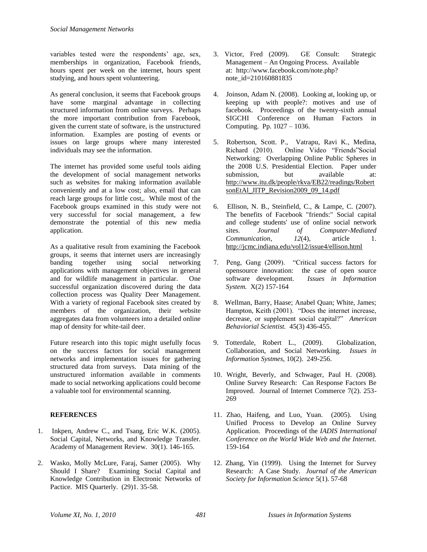variables tested were the respondents' age, sex, memberships in organization, Facebook friends, hours spent per week on the internet, hours spent studying, and hours spent volunteering.

As general conclusion, it seems that Facebook groups have some marginal advantage in collecting structured information from online surveys. Perhaps the more important contribution from Facebook, given the current state of software, is the unstructured information. Examples are posting of events or issues on large groups where many interested individuals may see the information.

The internet has provided some useful tools aiding the development of social management networks such as websites for making information available conveniently and at a low cost; also, email that can reach large groups for little cost,. While most of the Facebook groups examined in this study were not very successful for social management, a few demonstrate the potential of this new media application.

As a qualitative result from examining the Facebook groups, it seems that internet users are increasingly banding together using social networking applications with management objectives in general and for wildlife management in particular. One successful organization discovered during the data collection process was Quality Deer Management. With a variety of regional Facebook sites created by members of the organization, their website aggregates data from volunteers into a detailed online map of density for white-tail deer.

Future research into this topic might usefully focus on the success factors for social management networks and implementation issues for gathering structured data from surveys. Data mining of the unstructured information available in comments made to social networking applications could become a valuable tool for environmental scanning.

#### **REFERENCES**

- 1. Inkpen, Andrew C., and Tsang, Eric W.K. (2005). Social Capital, Networks, and Knowledge Transfer. Academy of Management Review. 30(1). 146-165.
- 2. Wasko, Molly McLure, Faraj, Samer (2005). Why Should I Share? Examining Social Capital and Knowledge Contribution in Electronic Networks of Pactice. MIS Quarterly. (29)1. 35-58.
- 3. Victor, Fred (2009). GE Consult: Strategic Management – An Ongoing Process. Available at: http://www.facebook.com/note.php? note\_id=210160881835
- 4. Joinson, Adam N. (2008). Looking at, looking up, or keeping up with people?: motives and use of facebook. Proceedings of the twenty-sixth annual SIGCHI Conference on Human Factors in Computing. Pp. 1027 – 1036.
- 5. Robertson, Scott. P., Vatrapu, Ravi K., Medina, Richard (2010). Online Video "Friends"Social Networking: Overlapping Online Public Spheres in the 2008 U.S. Presidential Election. Paper under submission, but available at: [http://www.itu.dk/people/rkva/EB22/readings/Robert](http://www.itu.dk/people/rkva/EB22/readings/RobertsonEtAl_JITP_Revision2009_09_14.pdf) [sonEtAl\\_JITP\\_Revision2009\\_09\\_14.pdf](http://www.itu.dk/people/rkva/EB22/readings/RobertsonEtAl_JITP_Revision2009_09_14.pdf)
- 6. Ellison, N. B., Steinfield, C., & Lampe, C. (2007). The benefits of Facebook "friends:" Social capital and college students' use of online social network sites. *Journal of Computer-Mediated Communication*,  $12(4)$ , article 1. <http://jcmc.indiana.edu/vol12/issue4/ellison.html>
- 7. Peng, Gang (2009). "Critical success factors for opensource innovation: the case of open source software development. *Issues in Information System.* X(2) 157-164
- 8. Wellman, Barry, Haase; Anabel Quan; White, James; Hampton, Keith (2001). "Does the internet increase, decrease, or supplement social capital?" *American Behaviorial Scientist.* 45(3) 436-455.
- 9. Totterdale, Robert L., (2009). Globalization, Collaboration, and Social Networking. *Issues in Information Systmes*, 10(2). 249-256.
- 10. Wright, Beverly, and Schwager, Paul H. (2008). Online Survey Research: Can Response Factors Be Improved. Journal of Internet Commerce 7(2). 253- 269
- 11. Zhao, Haifeng, and Luo, Yuan. (2005). Using Unified Process to Develop an Online Survey Application. Proceedings of the *IADIS International Conference on the World Wide Web and the Internet.* 159-164
- 12. Zhang, Yin (1999). Using the Internet for Survey Research: A Case Study. *Journal of the American Society for Information Science* 5(1). 57-68